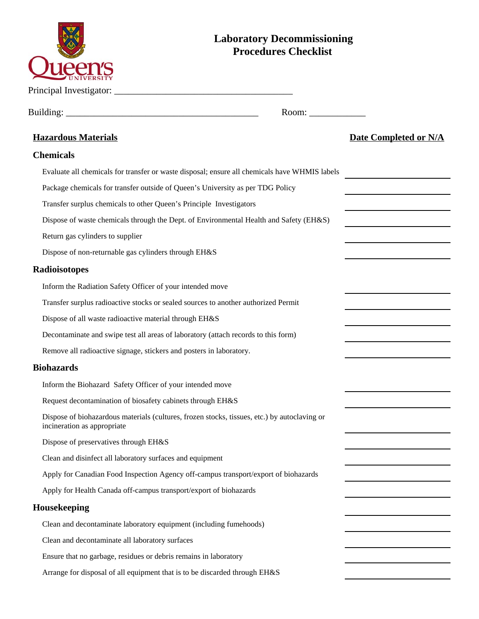| <b>Laboratory Decommissioning</b><br><b>Procedures Checklist</b>                                                            |                              |
|-----------------------------------------------------------------------------------------------------------------------------|------------------------------|
|                                                                                                                             |                              |
| Room:                                                                                                                       |                              |
| <b>Hazardous Materials</b>                                                                                                  | <b>Date Completed or N/A</b> |
| <b>Chemicals</b>                                                                                                            |                              |
| Evaluate all chemicals for transfer or waste disposal; ensure all chemicals have WHMIS labels                               |                              |
| Package chemicals for transfer outside of Queen's University as per TDG Policy                                              |                              |
| Transfer surplus chemicals to other Queen's Principle Investigators                                                         |                              |
| Dispose of waste chemicals through the Dept. of Environmental Health and Safety (EH&S)                                      |                              |
| Return gas cylinders to supplier                                                                                            |                              |
| Dispose of non-returnable gas cylinders through EH&S                                                                        |                              |
| Radioisotopes                                                                                                               |                              |
| Inform the Radiation Safety Officer of your intended move                                                                   |                              |
| Transfer surplus radioactive stocks or sealed sources to another authorized Permit                                          |                              |
| Dispose of all waste radioactive material through EH&S                                                                      |                              |
| Decontaminate and swipe test all areas of laboratory (attach records to this form)                                          |                              |
| Remove all radioactive signage, stickers and posters in laboratory.                                                         |                              |
| <b>Biohazards</b>                                                                                                           |                              |
| Inform the Biohazard Safety Officer of your intended move                                                                   |                              |
| Request decontamination of biosafety cabinets through EH&S                                                                  |                              |
| Dispose of biohazardous materials (cultures, frozen stocks, tissues, etc.) by autoclaving or<br>incineration as appropriate |                              |
| Dispose of preservatives through EH&S                                                                                       |                              |
| Clean and disinfect all laboratory surfaces and equipment                                                                   |                              |
| Apply for Canadian Food Inspection Agency off-campus transport/export of biohazards                                         |                              |
| Apply for Health Canada off-campus transport/export of biohazards                                                           |                              |
| Housekeeping                                                                                                                |                              |
| Clean and decontaminate laboratory equipment (including fumehoods)                                                          |                              |
| Clean and decontaminate all laboratory surfaces                                                                             |                              |
| Ensure that no garbage, residues or debris remains in laboratory                                                            |                              |
| Arrange for disposal of all equipment that is to be discarded through EH&S                                                  |                              |